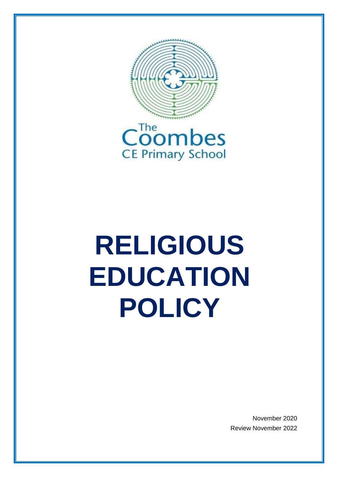

# **RELIGIOUS EDUCATION POLICY**

November 2020 Review November 2022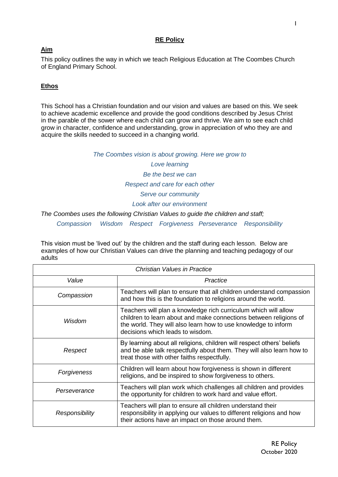# **RE Policy**

# **Aim**

This policy outlines the way in which we teach Religious Education at The Coombes Church of England Primary School.

# **Ethos**

This School has a Christian foundation and our vision and values are based on this. We seek to achieve academic excellence and provide the good conditions described by Jesus Christ in the parable of the sower where each child can grow and thrive. We aim to see each child grow in character, confidence and understanding, grow in appreciation of who they are and acquire the skills needed to succeed in a changing world.

### *The Coombes vision is about growing. Here we grow to*

*Love learning Be the best we can Respect and care for each other Serve our community Look after our environment*

*The Coombes uses the following Christian Values to guide the children and staff;*

*Compassion Wisdom Respect Forgiveness Perseverance Responsibility*

This vision must be 'lived out' by the children and the staff during each lesson. Below are examples of how our Christian Values can drive the planning and teaching pedagogy of our adults

| Christian Values in Practice |                                                                                                                                                                                                                                            |
|------------------------------|--------------------------------------------------------------------------------------------------------------------------------------------------------------------------------------------------------------------------------------------|
| Value                        | Practice                                                                                                                                                                                                                                   |
| Compassion                   | Teachers will plan to ensure that all children understand compassion<br>and how this is the foundation to religions around the world.                                                                                                      |
| Wisdom                       | Teachers will plan a knowledge rich curriculum which will allow<br>children to learn about and make connections between religions of<br>the world. They will also learn how to use knowledge to inform<br>decisions which leads to wisdom. |
| Respect                      | By learning about all religions, children will respect others' beliefs<br>and be able talk respectfully about them. They will also learn how to<br>treat those with other faiths respectfully.                                             |
| Forgiveness                  | Children will learn about how forgiveness is shown in different<br>religions, and be inspired to show forgiveness to others.                                                                                                               |
| Perseverance                 | Teachers will plan work which challenges all children and provides<br>the opportunity for children to work hard and value effort.                                                                                                          |
| Responsibility               | Teachers will plan to ensure all children understand their<br>responsibility in applying our values to different religions and how<br>their actions have an impact on those around them.                                                   |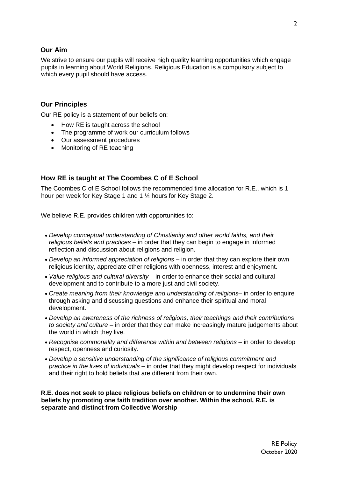# **Our Aim**

We strive to ensure our pupils will receive high quality learning opportunities which engage pupils in learning about World Religions. Religious Education is a compulsory subject to which every pupil should have access.

# **Our Principles**

Our RE policy is a statement of our beliefs on:

- How RE is taught across the school
- The programme of work our curriculum follows
- Our assessment procedures
- Monitoring of RE teaching

# **How RE is taught at The Coombes C of E School**

The Coombes C of E School follows the recommended time allocation for R.E., which is 1 hour per week for Key Stage 1 and 1 ¼ hours for Key Stage 2.

We believe R.E. provides children with opportunities to:

- *Develop conceptual understanding of Christianity and other world faiths, and their religious beliefs and practices* – in order that they can begin to engage in informed reflection and discussion about religions and religion.
- *Develop an informed appreciation of religions* in order that they can explore their own religious identity, appreciate other religions with openness, interest and enjoyment.
- *Value religious and cultural diversity* in order to enhance their social and cultural development and to contribute to a more just and civil society.
- *Create meaning from their knowledge and understanding of religions* in order to enquire through asking and discussing questions and enhance their spiritual and moral development.
- *Develop an awareness of the richness of religions, their teachings and their contributions to society and culture* – in order that they can make increasingly mature judgements about the world in which they live.
- *Recognise commonality and difference within and between religions* in order to develop respect, openness and curiosity.
- *Develop a sensitive understanding of the significance of religious commitment and practice in the lives of individuals* – in order that they might develop respect for individuals and their right to hold beliefs that are different from their own.

**R.E. does not seek to place religious beliefs on children or to undermine their own beliefs by promoting one faith tradition over another. Within the school, R.E. is separate and distinct from Collective Worship**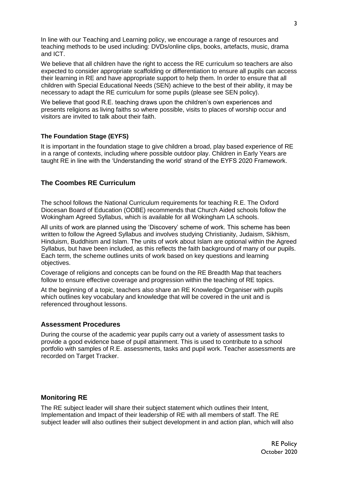In line with our Teaching and Learning policy, we encourage a range of resources and teaching methods to be used including: DVDs/online clips, books, artefacts, music, drama and ICT.

We believe that all children have the right to access the RE curriculum so teachers are also expected to consider appropriate scaffolding or differentiation to ensure all pupils can access their learning in RE and have appropriate support to help them. In order to ensure that all children with Special Educational Needs (SEN) achieve to the best of their ability, it may be necessary to adapt the RE curriculum for some pupils (please see SEN policy).

We believe that good R.E. teaching draws upon the children's own experiences and presents religions as living faiths so where possible, visits to places of worship occur and visitors are invited to talk about their faith.

### **The Foundation Stage (EYFS)**

It is important in the foundation stage to give children a broad, play based experience of RE in a range of contexts, including where possible outdoor play. Children in Early Years are taught RE in line with the 'Understanding the world' strand of the EYFS 2020 Framework.

## **The Coombes RE Curriculum**

The school follows the National Curriculum requirements for teaching R.E. The Oxford Diocesan Board of Education (ODBE) recommends that Church Aided schools follow the Wokingham Agreed Syllabus, which is available for all Wokingham LA schools.

All units of work are planned using the 'Discovery' scheme of work. This scheme has been written to follow the Agreed Syllabus and involves studying Christianity, Judaism, Sikhism, Hinduism, Buddhism and Islam. The units of work about Islam are optional within the Agreed Syllabus, but have been included, as this reflects the faith background of many of our pupils. Each term, the scheme outlines units of work based on key questions and learning objectives.

Coverage of religions and concepts can be found on the RE Breadth Map that teachers follow to ensure effective coverage and progression within the teaching of RE topics.

At the beginning of a topic, teachers also share an RE Knowledge Organiser with pupils which outlines key vocabulary and knowledge that will be covered in the unit and is referenced throughout lessons.

#### **Assessment Procedures**

During the course of the academic year pupils carry out a variety of assessment tasks to provide a good evidence base of pupil attainment. This is used to contribute to a school portfolio with samples of R.E. assessments, tasks and pupil work. Teacher assessments are recorded on Target Tracker.

#### **Monitoring RE**

The RE subject leader will share their subject statement which outlines their Intent, Implementation and Impact of their leadership of RE with all members of staff. The RE subject leader will also outlines their subject development in and action plan, which will also